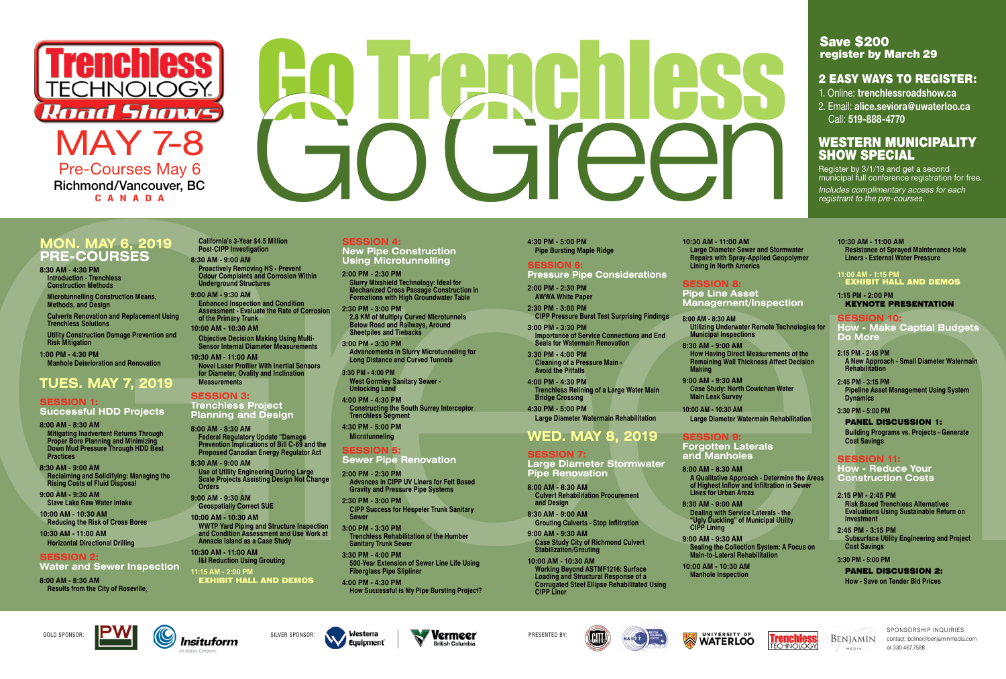# **PRE-COURSES**

**8:30 AM - 4:30 PM Introduction - Trenchless Construction Methods**

**Microtunnelling Construction Means, Methods, and Design**

**Culverts Renovation and Replacement Using Trenchless Solutions**

**Utility Construction Damage Prevention and Risk Mitigation**

**1:00 PM - 4:30 PM Manhole Deterioration and Renovation**

# **TUES. MAY 7, 2019**

#### **SESSION 1: Successful HDD Projects**

- **8:00 AM 8:30 AM Mitigating Inadvertent Returns Through Proper Bore Planning and Minimizing Down Mud Pressure Through HDD Best Practices**
- **8:30 AM 9:00 AM Reclaiming and Solidifying: Managing the Rising Costs of Fluid Disposal**

**9:00 AM - 9:30 AM Slave Lake Raw Water Intake**

**10:00 AM - 10:30 AM Reducing the Risk of Cross Bores**

**10:30 AM - 11:00 AM Horizontal Directional Drilling**

#### **SESSION 2:**

**Water and Sewer Inspection**

**8:00 AM - 8:30 AM Results from the City of Roseville,**  **California's 3-Year \$4.5 Million Post-CIPP Investigation**

Green **MON. MAY 6, 2019 10:00 AM - 10:30 AM WWTP Yard Piping and Structure Inspection and Condition Assessment and Use Work at Annacis Island as a Case Study 10:30 AM - 11:00 AM**

**8:30 AM - 9:00 AM Proactively Removing HS - Prevent Odour Complaints and Corrosion Within Underground Structures**

**9:00 AM - 9:30 AM Enhanced Inspection and Condition Assessment - Evaluate the Rate of Corrosion of the Primary Trunk 10:00 AM - 10:30 AM**

**Objective Decision Making Using Multi-Sensor Internal Diameter Measurements**

**10:30 AM - 11:00 AM Novel Laser Profiler With Inertial Sensors for Diameter, Ovality and Inclination** 

### **Measurements SESSION 3:**

#### **Trenchless Project Planning and Design**

**8:00 AM - 8:30 AM Federal Regulatory Update "Damage Prevention Implications of Bill C-69 and the Proposed Canadian Energy Regulator Act**

**8:30 AM - 9:00 AM Use of Utility Engineering During Large Scale Projects Assisting Design Not Change Orders**

**9:00 AM - 9:30 AM Geospatially Correct SUE**

**I&I Reduction Using Grouting 11:15 AM - 2:00 PM**

EXHIBIT HALL AND DEMOS

**SESSION 4:** 

**New Pipe Construction Using Microtunnelling**

#### **SESSION 8: Pipe Line Asset**

**2:00 PM - 2:30 PM**

**Slurry Mixshield Technology: Ideal for Mechanized Cross Passage Construction in Formations with High Groundwater Table**

**2:30 PM - 3:00 PM**

**2.8 KM of Multiply Curved Microtunnels Below Road and Railways, Around Sheetpiles and Tiebacks**

**3:00 PM - 3:30 PM**

**Advancements in Slurry Microtunneling for Long Distance and Curved Tunnels**

**3:30 PM - 4:00 PM**

**West Gormley Sanitary Sewer -** 

**Unlocking Land 4:00 PM - 4:30 PM**

#### **11:00 AM - 1:15 PM EXHIBIT HALL AND DEMOS**

**Constructing the South Surrey Interceptor** 

**Trenchless Segment 4:30 PM - 5:00 PM Microtunneling SESSION 5:** 

**Sewer Pipe Renovation**

**2:00 PM - 2:30 PM**

**Advances in CIPP UV Liners for Felt Based Gravity and Pressure Pipe Systems**

**2:30 PM - 3:00 PM**

**CIPP Success for Hespeler Trunk Sanitary** 

**Sewer**

**3:00 PM - 3:30 PM**

**Trenchless Rehabilitation of the Humber** 

**Sanitary Trunk Sewer 3:30 PM - 4:00 PM**

**500-Year Extension of Sewer Line Life Using Fiberglass Pipe Slipliner 4:00 PM - 4:30 PM**

**How Successful is My Pipe Bursting Project?**

Register by 3/1/19 and get a second municipal full conference registration for free.

**4:30 PM - 5:00 PM Pipe Bursting Maple Ridge**

**SESSION 6: Pressure Pipe Considerations**

**2:00 PM - 2:30 PM AWWA White Paper**

**2:30 PM - 3:00 PM CIPP Pressure Burst Test Surprising Findings**

**3:00 PM - 3:30 PM Importance of Service Connections and End Seals for Watermain Renovation**

**3:30 PM - 4:00 PM Cleaning of a Pressure Main -** 

**Avoid the Pitfalls 4:00 PM - 4:30 PM Trenchless Relining of a Large Water Main Bridge Crossing**

**4:30 PM - 5:00 PM Large Diameter Watermain Rehabilitation**

# **WED. MAY 8, 2019**

#### **SESSION 7:**

**Large Diameter Stormwater Pipe Renovation**

**8:00 AM - 8:30 AM Culvert Rehabilitation Procurement and Design**

**8:30 AM - 9:00 AM Grouting Culverts - Stop Inflitration**

**9:00 AM - 9:30 AM**



**Case Study City of Richmond Culvert Stabilization/Grouting**

**10:00 AM - 10:30 AM Working Beyond ASTMF1216: Surface Loading and Structural Response of a Corrugated Steel Ellipse Rehabilitated Using CIPP Liner**

**10:30 AM - 11:00 AM Large Diameter Sewer and Stormwater Repairs with Spray-Applied Geopolymer Lining in North America**

**Management/Inspection**

**8:00 AM - 8:30 AM Utilizing Underwater Remote Technologies for Municipal Inspections**

**8:30 AM - 9:00 AM How Having Direct Measurements of the Remaining Wall Thickness Affect Decision Making**

**9:00 AM - 9:30 AM Case Study: North Cowichan Water Main Leak Survey**

**10:00 AM - 10:30 AM Large Diameter Watermain Rehabilitation**

#### **SESSION 9: Forgotten Laterals**

**and Manholes**

**8:00 AM - 8:30 AM A Qualitative Approach - Determine the Areas of Highest Inflow and Infiltration in Sewer Lines for Urban Areas**

**8:30 AM - 9:00 AM Dealing with Service Laterals - the "Ugly Duckling" of Municipal Utility CIPP Lining**

**9:00 AM - 9:30 AM Sealing the Collection System: A Focus on Main-to-Lateral Rehabilitation**

**10:00 AM - 10:30 AM Manhole Inspection**





**10:30 AM - 11:00 AM Resistance of Sprayed Maintenance Hole Liners - External Water Pressure**

**1:15 PM - 2:00 PM** KEYNOTE PRESENTATION

**SESSION 10: How - Make Captial Budgets Do More**

- **2:15 PM 2:45 PM A New Approach - Small Diameter Watermain Rehabilitation**
- **2:45 PM 3:15 PM Pipeline Asset Management Using System Dynamics**
- **3:30 PM 5:00 PM**

#### PANEL DISCUSSION 1: **Building Programs vs. Projects - Generate Cost Savings**

#### **SESSION 11: How - Reduce Your Construction Costs**

- **2:15 PM 2:45 PM Risk Based Trenchless Alternatives Evaluations Using Sustainable Return on Investment**
- **2:45 PM 3:15 PM Subsurface Utility Engineering and Project Cost Savings**
- **3:30 PM 5:00 PM** PANEL DISCUSSION 2: **How - Save on Tender Bid Prices**



BENJAMIN  $-44.0$  m  $-4.4$ 

SPONSORSHIP INQUIRIES contact: bcline@benjaminmedia.com or 330.467.7588















Pre-Courses May 6 Richmond/Vancouver, BC CANADA

# En Jerchess

# Save \$200 register by March 29

# 2 EASY WAYS TO REGISTER:

- 1. Online: **trenchlessroadshow.ca**
- 2. Email: **alice.seviora@uwaterloo.ca**  Call: **519-888-4770**

# WESTERN MUNICIPALITY SHOW SPECIAL

Includes complimentary access for each registrant to the pre-courses.